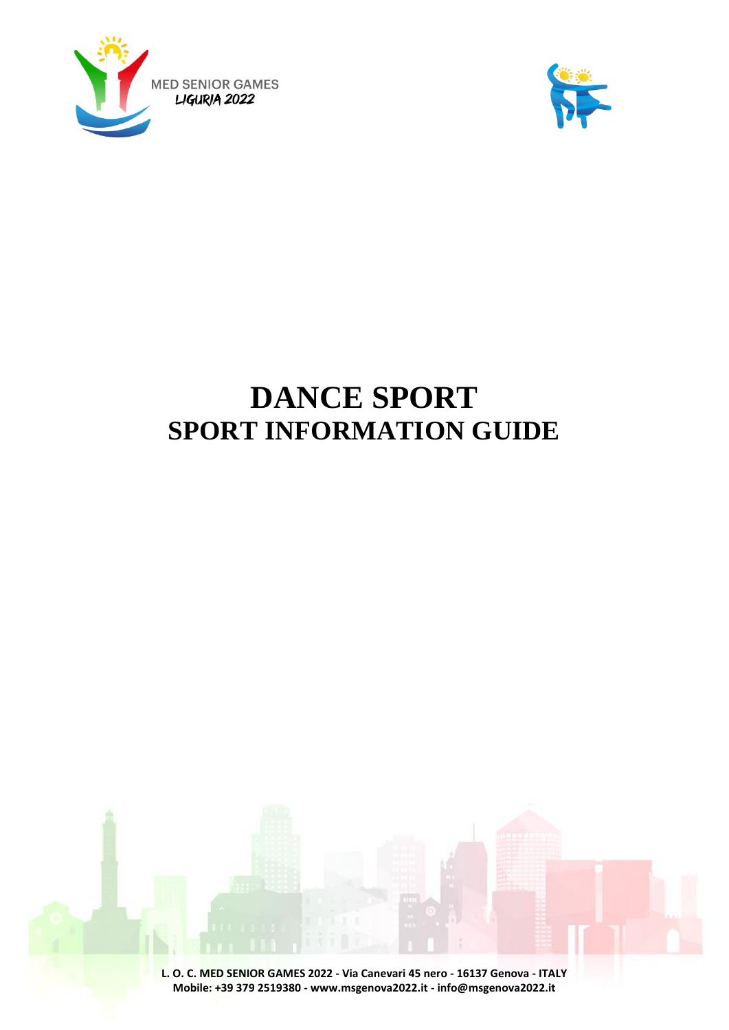



# **DANCE SPORT SPORT INFORMATION GUIDE**

**L. O. C. MED SENIOR GAMES 2022 - Via Canevari 45 nero - 16137 Genova - ITALY Mobile: +39 379 2519380 - www.msgenova2022.it - info@msgenova2022.it**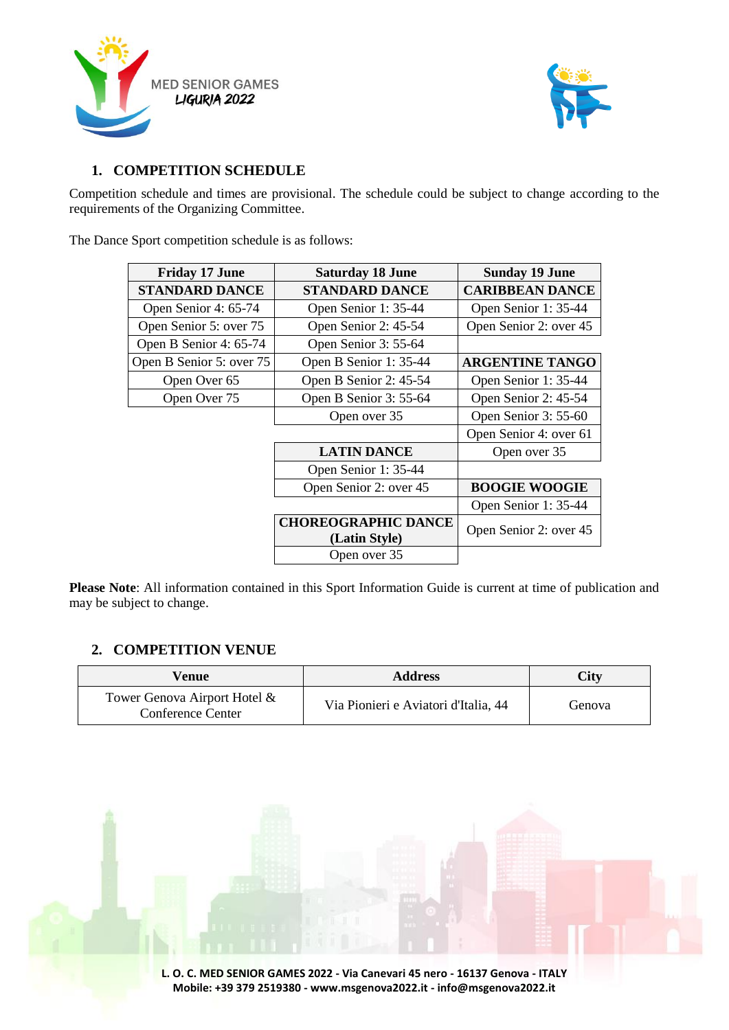



# **1. COMPETITION SCHEDULE**

Competition schedule and times are provisional. The schedule could be subject to change according to the requirements of the Organizing Committee.

The Dance Sport competition schedule is as follows:

| <b>Friday 17 June</b>    | <b>Saturday 18 June</b>    | <b>Sunday 19 June</b>  |
|--------------------------|----------------------------|------------------------|
| <b>STANDARD DANCE</b>    | <b>STANDARD DANCE</b>      | <b>CARIBBEAN DANCE</b> |
| Open Senior 4: 65-74     | Open Senior 1: 35-44       | Open Senior 1: 35-44   |
| Open Senior 5: over 75   | Open Senior 2: 45-54       | Open Senior 2: over 45 |
| Open B Senior 4: 65-74   | Open Senior 3: 55-64       |                        |
| Open B Senior 5: over 75 | Open B Senior 1: 35-44     | <b>ARGENTINE TANGO</b> |
| Open Over 65             | Open B Senior 2: 45-54     | Open Senior 1: 35-44   |
| Open Over 75             | Open B Senior 3: 55-64     | Open Senior 2: 45-54   |
|                          | Open over 35               | Open Senior 3: 55-60   |
|                          |                            | Open Senior 4: over 61 |
|                          | <b>LATIN DANCE</b>         | Open over 35           |
|                          | Open Senior 1: 35-44       |                        |
|                          | Open Senior 2: over 45     | <b>BOOGIE WOOGIE</b>   |
|                          |                            | Open Senior 1: 35-44   |
|                          | <b>CHOREOGRAPHIC DANCE</b> | Open Senior 2: over 45 |
|                          | (Latin Style)              |                        |
|                          | Open over 35               |                        |

**Please Note**: All information contained in this Sport Information Guide is current at time of publication and may be subject to change.

# **2. COMPETITION VENUE**

| Venue                                                    | <b>Address</b>                       | <b>City</b> |
|----------------------------------------------------------|--------------------------------------|-------------|
| Tower Genova Airport Hotel &<br><b>Conference Center</b> | Via Pionieri e Aviatori d'Italia, 44 | Genova      |

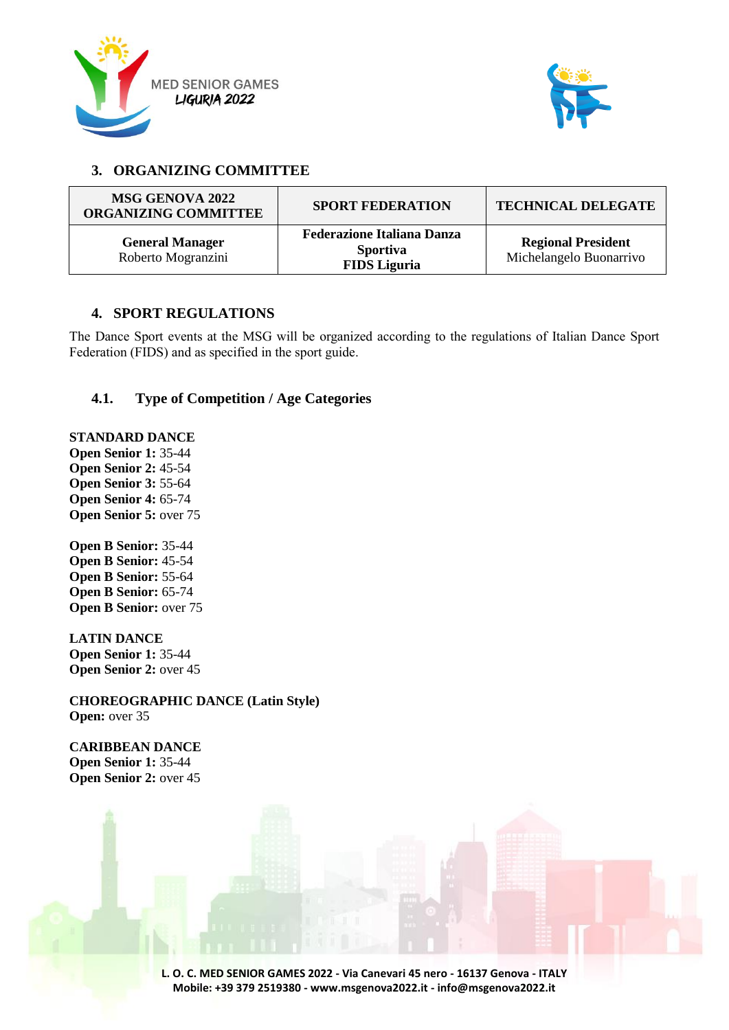



# **3. ORGANIZING COMMITTEE**

| MSG GENOVA 2022<br><b>ORGANIZING COMMITTEE</b> | <b>SPORT FEDERATION</b>                                                     | <b>TECHNICAL DELEGATE</b>                            |
|------------------------------------------------|-----------------------------------------------------------------------------|------------------------------------------------------|
| <b>General Manager</b><br>Roberto Mogranzini   | <b>Federazione Italiana Danza</b><br><b>Sportiva</b><br><b>FIDS</b> Liguria | <b>Regional President</b><br>Michelangelo Buonarrivo |

# **4. SPORT REGULATIONS**

The Dance Sport events at the MSG will be organized according to the regulations of Italian Dance Sport Federation (FIDS) and as specified in the sport guide.

## **4.1. Type of Competition / Age Categories**

**STANDARD DANCE Open Senior 1:** 35-44 **Open Senior 2:** 45-54 **Open Senior 3:** 55-64 **Open Senior 4:** 65-74 **Open Senior 5: over 75** 

**Open B Senior:** 35-44 **Open B Senior:** 45-54 **Open B Senior:** 55-64 **Open B Senior:** 65-74 **Open B Senior:** over 75

**LATIN DANCE Open Senior 1:** 35-44 **Open Senior 2:** over 45

**CHOREOGRAPHIC DANCE (Latin Style) Open:** over 35

**CARIBBEAN DANCE Open Senior 1:** 35-44 **Open Senior 2:** over 45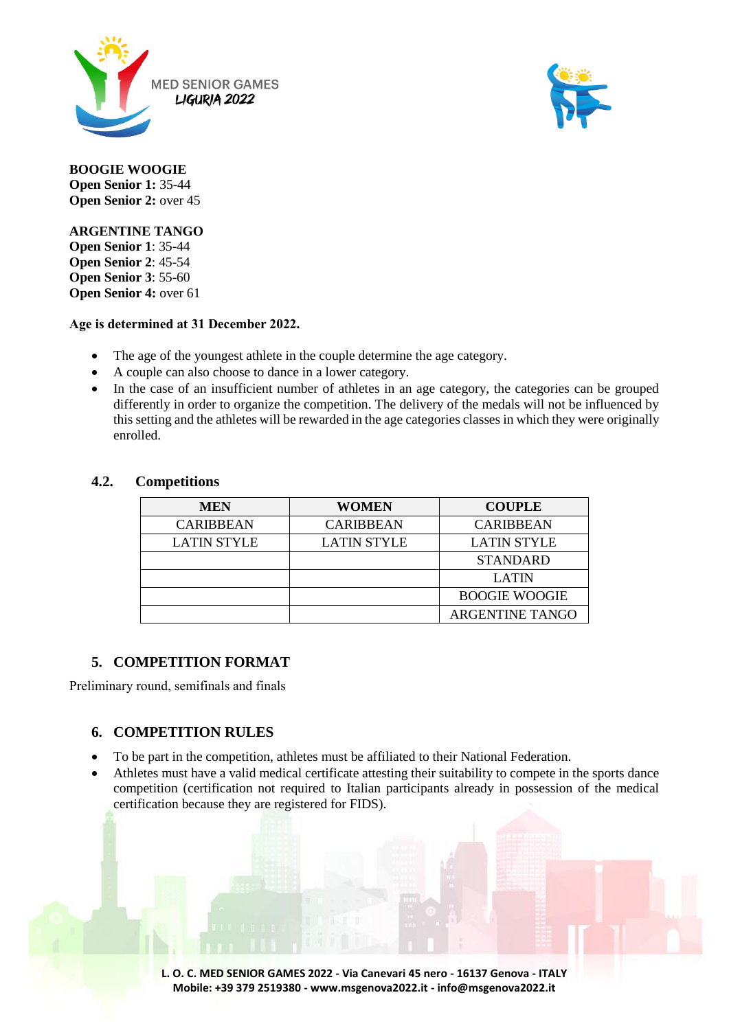



**BOOGIE WOOGIE Open Senior 1:** 35-44 **Open Senior 2:** over 45

**ARGENTINE TANGO**

**Open Senior 1**: 35-44 **Open Senior 2**: 45-54 **Open Senior 3**: 55-60 **Open Senior 4:** over 61

## **Age is determined at 31 December 2022.**

- The age of the youngest athlete in the couple determine the age category.
- A couple can also choose to dance in a lower category.
- In the case of an insufficient number of athletes in an age category, the categories can be grouped differently in order to organize the competition. The delivery of the medals will not be influenced by this setting and the athletes will be rewarded in the age categories classes in which they were originally enrolled.

## **4.2. Competitions**

| <b>MEN</b>         | <b>WOMEN</b>       | <b>COUPLE</b>          |
|--------------------|--------------------|------------------------|
| <b>CARIBBEAN</b>   | <b>CARIBBEAN</b>   | <b>CARIBBEAN</b>       |
| <b>LATIN STYLE</b> | <b>LATIN STYLE</b> | <b>LATIN STYLE</b>     |
|                    |                    | <b>STANDARD</b>        |
|                    |                    | <b>LATIN</b>           |
|                    |                    | <b>BOOGIE WOOGIE</b>   |
|                    |                    | <b>ARGENTINE TANGO</b> |

# **5. COMPETITION FORMAT**

Preliminary round, semifinals and finals

# **6. COMPETITION RULES**

- To be part in the competition, athletes must be affiliated to their National Federation.
- Athletes must have a valid medical certificate attesting their suitability to compete in the sports dance competition (certification not required to Italian participants already in possession of the medical certification because they are registered for FIDS).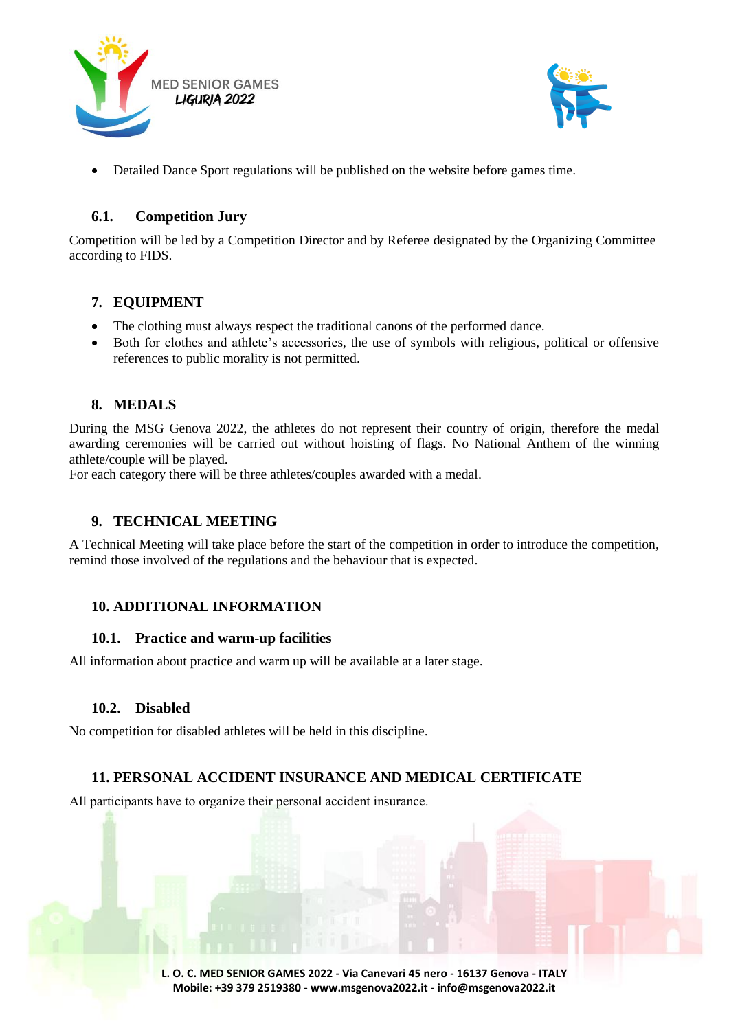



Detailed Dance Sport regulations will be published on the website before games time.

## **6.1. Competition Jury**

Competition will be led by a Competition Director and by Referee designated by the Organizing Committee according to FIDS.

# **7. EQUIPMENT**

- The clothing must always respect the traditional canons of the performed dance.
- Both for clothes and athlete's accessories, the use of symbols with religious, political or offensive references to public morality is not permitted.

# **8. MEDALS**

During the MSG Genova 2022, the athletes do not represent their country of origin, therefore the medal awarding ceremonies will be carried out without hoisting of flags. No National Anthem of the winning athlete/couple will be played.

For each category there will be three athletes/couples awarded with a medal.

# **9. TECHNICAL MEETING**

A Technical Meeting will take place before the start of the competition in order to introduce the competition, remind those involved of the regulations and the behaviour that is expected.

## **10. ADDITIONAL INFORMATION**

## **10.1. Practice and warm-up facilities**

All information about practice and warm up will be available at a later stage.

## **10.2. Disabled**

No competition for disabled athletes will be held in this discipline.

# **11. PERSONAL ACCIDENT INSURANCE AND MEDICAL CERTIFICATE**

All participants have to organize their personal accident insurance.

**L. O. C. MED SENIOR GAMES 2022 - Via Canevari 45 nero - 16137 Genova - ITALY Mobile: +39 379 2519380 - www.msgenova2022.it - info@msgenova2022.it**